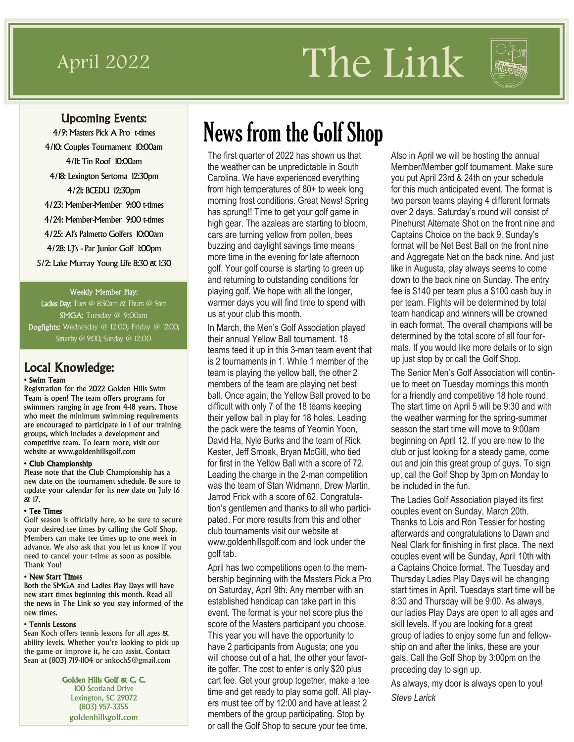# April 2022 The Link



### Upcoming Events:

4/9: Masters Pick A Pro t-times 4/10: Couples Tournament 10:00am 4/11: Tin Roof 10:00am 4/18: Lexington Sertoma 12:30pm 4/21: BCEDU 12:30pm 4/23: Member-Member 9:00 t-times 4/24: Member-Member 9:00 t-times 4/25: Al's Palmetto Golfers 10:00am 4/28: LJ's - Par Junior Golf 1:00pm 5/2: Lake Murray Young Life 8:30 & 1:30

#### Weekly Member Play:

Ladies Day: Tues @ 8:30am & Thurs @ 9am SMGA: Tuesday @ 9:00am Dogfights: Wednesday @ 12:00; Friday @ 12:00; Saturday @ 9:00; Sunday @ 12:00

### Local Knowledge:

#### • Swim Team

Registration for the 2022 Golden Hills Swim Team is open! The team offers programs for swimmers ranging in age from 4-18 years. Those who meet the minimum swimming requirements are encouraged to participate in 1 of our training groups, which includes a development and competitive team. To learn more, visit our website at www.goldenhillsgolf.com

#### • Club Championship

Please note that the Club Championship has a new date on the tournament schedule. Be sure to update your calendar for its new date on July 16 & 17.

#### • Tee Times

Golf season is officially here, so be sure to secure your desired tee times by calling the Golf Shop. Members can make tee times up to one week in advance. We also ask that you let us know if you need to cancel your t-time as soon as possible. Thank You!

#### • New Start Times

Both the SMGA and Ladies Play Days will have new start times beginning this month. Read all the news in The Link so you stay informed of the new times.

#### • Tennis Lessons

Sean Koch offers tennis lessons for all ages & ability levels. Whether you're looking to pick up the game or improve it, he can assist. Contact Sean at (803) 719-1104 or snkoch5@gmail.com

> Golden Hills Golf & C. C. 100 Scotland Drive Lexington, SC 29072 (803) 957-3355 goldenhillsgolf.com

# News from the Golf Shop

The first quarter of 2022 has shown us that the weather can be unpredictable in South Carolina. We have experienced everything from high temperatures of 80+ to week long morning frost conditions. Great News! Spring has sprung!! Time to get your golf game in high gear. The azaleas are starting to bloom, cars are turning yellow from pollen, bees buzzing and daylight savings time means more time in the evening for late afternoon golf. Your golf course is starting to green up and returning to outstanding conditions for playing golf. We hope with all the longer, warmer days you will find time to spend with us at your club this month.

In March, the Men's Golf Association played their annual Yellow Ball tournament. 18 teams teed it up in this 3-man team event that is 2 tournaments in 1. While 1 member of the team is playing the yellow ball, the other 2 members of the team are playing net best ball. Once again, the Yellow Ball proved to be difficult with only 7 of the 18 teams keeping their yellow ball in play for 18 holes. Leading the pack were the teams of Yeomin Yoon, David Ha, Nyle Burks and the team of Rick Kester, Jeff Smoak, Bryan McGill, who tied for first in the Yellow Ball with a score of 72. Leading the charge in the 2-man competition was the team of Stan Widmann, Drew Martin, Jarrod Frick with a score of 62. Congratulation's gentlemen and thanks to all who participated. For more results from this and other club tournaments visit our website at www.goldenhillsgolf.com and look under the golf tab.

April has two competitions open to the membership beginning with the Masters Pick a Pro on Saturday, April 9th. Any member with an established handicap can take part in this event. The format is your net score plus the score of the Masters participant you choose. This year you will have the opportunity to have 2 participants from Augusta; one you will choose out of a hat, the other your favorite golfer. The cost to enter is only \$20 plus cart fee. Get your group together, make a tee time and get ready to play some golf. All players must tee off by 12:00 and have at least 2 members of the group participating. Stop by or call the Golf Shop to secure your tee time.

Also in April we will be hosting the annual Member/Member golf tournament. Make sure you put April 23rd & 24th on your schedule for this much anticipated event. The format is two person teams playing 4 different formats over 2 days. Saturday's round will consist of Pinehurst Alternate Shot on the front nine and Captains Choice on the back 9. Sunday's format will be Net Best Ball on the front nine and Aggregate Net on the back nine. And just like in Augusta, play always seems to come down to the back nine on Sunday. The entry fee is \$140 per team plus a \$100 cash buy in per team. Flights will be determined by total team handicap and winners will be crowned in each format. The overall champions will be determined by the total score of all four formats. If you would like more details or to sign up just stop by or call the Golf Shop.

The Senior Men's Golf Association will continue to meet on Tuesday mornings this month for a friendly and competitive 18 hole round. The start time on April 5 will be 9:30 and with the weather warming for the spring-summer season the start time will move to 9:00am beginning on April 12. If you are new to the club or just looking for a steady game, come out and join this great group of guys. To sign up, call the Golf Shop by 3pm on Monday to be included in the fun.

The Ladies Golf Association played its first couples event on Sunday, March 20th. Thanks to Lois and Ron Tessier for hosting afterwards and congratulations to Dawn and Neal Clark for finishing in first place. The next couples event will be Sunday, April 10th with a Captains Choice format. The Tuesday and Thursday Ladies Play Days will be changing start times in April. Tuesdays start time will be 8:30 and Thursday will be 9:00. As always, our ladies Play Days are open to all ages and skill levels. If you are looking for a great group of ladies to enjoy some fun and fellowship on and after the links, these are your gals. Call the Golf Shop by 3:00pm on the preceding day to sign up.

As always, my door is always open to you! *Steve Larick*